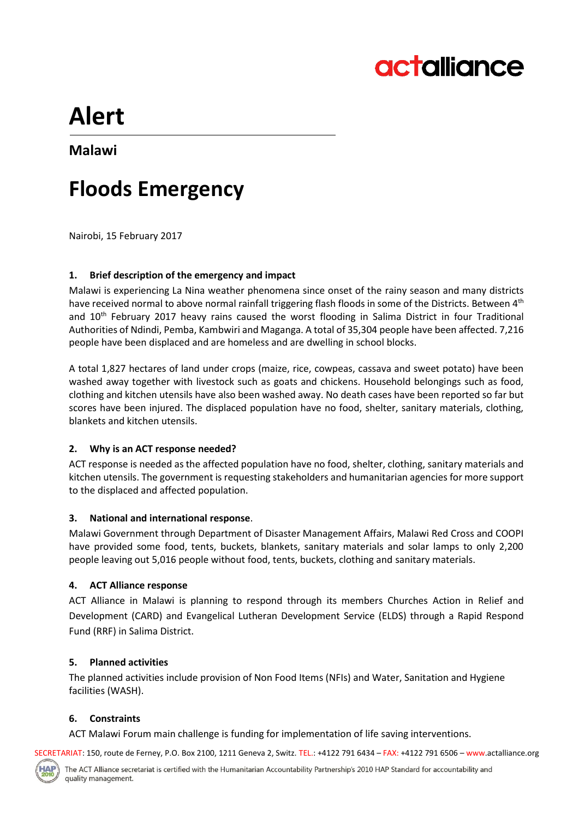

# **Alert**

### **Malawi**

## **Floods Emergency**

Nairobi, 15 February 2017

#### **1. Brief description of the emergency and impact**

Malawi is experiencing La Nina weather phenomena since onset of the rainy season and many districts have received normal to above normal rainfall triggering flash floods in some of the Districts. Between 4<sup>th</sup> and 10<sup>th</sup> February 2017 heavy rains caused the worst flooding in Salima District in four Traditional Authorities of Ndindi, Pemba, Kambwiri and Maganga. A total of 35,304 people have been affected. 7,216 people have been displaced and are homeless and are dwelling in school blocks.

A total 1,827 hectares of land under crops (maize, rice, cowpeas, cassava and sweet potato) have been washed away together with livestock such as goats and chickens. Household belongings such as food, clothing and kitchen utensils have also been washed away. No death cases have been reported so far but scores have been injured. The displaced population have no food, shelter, sanitary materials, clothing, blankets and kitchen utensils.

#### **2. Why is an ACT response needed?**

ACT response is needed as the affected population have no food, shelter, clothing, sanitary materials and kitchen utensils. The government is requesting stakeholders and humanitarian agencies for more support to the displaced and affected population.

#### **3. National and international response**.

Malawi Government through Department of Disaster Management Affairs, Malawi Red Cross and COOPI have provided some food, tents, buckets, blankets, sanitary materials and solar lamps to only 2,200 people leaving out 5,016 people without food, tents, buckets, clothing and sanitary materials.

#### **4. ACT Alliance response**

ACT Alliance in Malawi is planning to respond through its members Churches Action in Relief and Development (CARD) and Evangelical Lutheran Development Service (ELDS) through a Rapid Respond Fund (RRF) in Salima District.

#### **5. Planned activities**

The planned activities include provision of Non Food Items (NFIs) and Water, Sanitation and Hygiene facilities (WASH).

#### **6. Constraints**

ACT Malawi Forum main challenge is funding for implementation of life saving interventions.

SECRETARIAT: 150, route de Ferney, P.O. Box 2100, 1211 Geneva 2, Switz. TEL.: +4122 791 6434 – FAX: +4122 791 6506 – www.actalliance.org